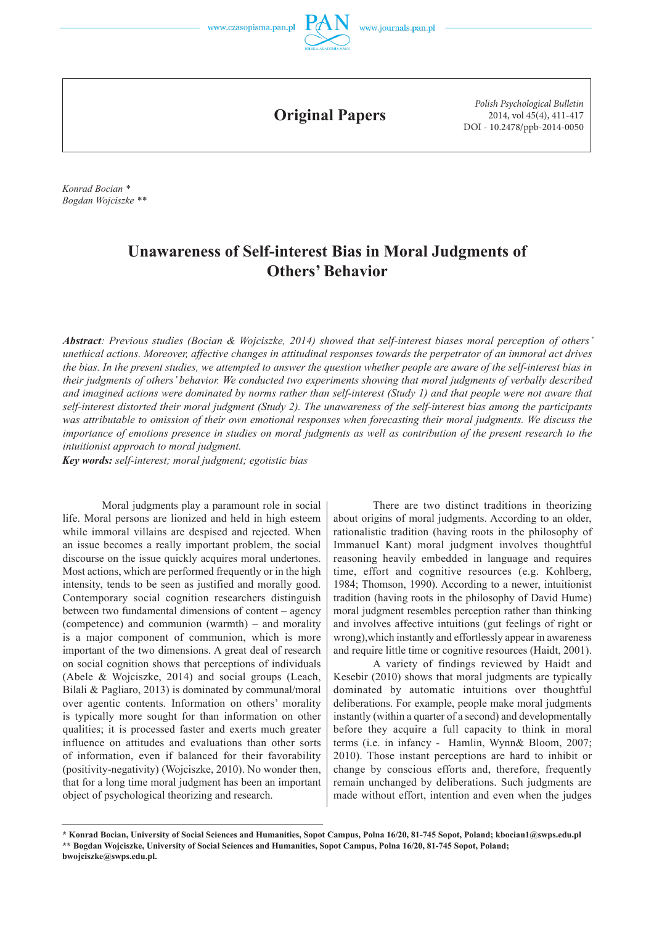

**Original Papers**

*Polish Psychological Bulletin* 2014, vol 45(4), 411-417 DOI - 10.2478/ppb-2014-0050

*Konrad Bocian \* Bogdan Wojciszke \*\**

# **Unawareness of Self-interest Bias in Moral Judgments of Others' Behavior**

*Abstract: Previous studies (Bocian & Wojciszke, 2014) showed that self-interest biases moral perception of others' unethical actions. Moreover, affective changes in attitudinal responses towards the perpetrator of an immoral act drives the bias. In the present studies, we attempted to answer the question whether people are aware of the self-interest bias in their judgments of others' behavior. We conducted two experiments showing that moral judgments of verbally described and imagined actions were dominated by norms rather than self-interest (Study 1) and that people were not aware that self-interest distorted their moral judgment (Study 2). The unawareness of the self-interest bias among the participants was attributable to omission of their own emotional responses when forecasting their moral judgments. We discuss the importance of emotions presence in studies on moral judgments as well as contribution of the present research to the intuitionist approach to moral judgment.* 

*Key words: self-interest; moral judgment; egotistic bias*

Moral judgments play a paramount role in social life. Moral persons are lionized and held in high esteem while immoral villains are despised and rejected. When an issue becomes a really important problem, the social discourse on the issue quickly acquires moral undertones. Most actions, which are performed frequently or in the high intensity, tends to be seen as justified and morally good. Contemporary social cognition researchers distinguish between two fundamental dimensions of content – agency (competence) and communion (warmth) – and morality is a major component of communion, which is more important of the two dimensions. A great deal of research on social cognition shows that perceptions of individuals (Abele & Wojciszke, 2014) and social groups (Leach, Bilali & Pagliaro, 2013) is dominated by communal/moral over agentic contents. Information on others' morality is typically more sought for than information on other qualities; it is processed faster and exerts much greater influence on attitudes and evaluations than other sorts of information, even if balanced for their favorability (positivity-negativity) (Wojciszke, 2010). No wonder then, that for a long time moral judgment has been an important object of psychological theorizing and research.

There are two distinct traditions in theorizing about origins of moral judgments. According to an older, rationalistic tradition (having roots in the philosophy of Immanuel Kant) moral judgment involves thoughtful reasoning heavily embedded in language and requires time, effort and cognitive resources (e.g. Kohlberg, 1984; Thomson, 1990). According to a newer, intuitionist tradition (having roots in the philosophy of David Hume) moral judgment resembles perception rather than thinking and involves affective intuitions (gut feelings of right or wrong),which instantly and effortlessly appear in awareness and require little time or cognitive resources (Haidt, 2001).

A variety of findings reviewed by Haidt and Kesebir (2010) shows that moral judgments are typically dominated by automatic intuitions over thoughtful deliberations. For example, people make moral judgments instantly (within a quarter of a second) and developmentally before they acquire a full capacity to think in moral terms (i.e. in infancy - Hamlin, Wynn& Bloom, 2007; 2010). Those instant perceptions are hard to inhibit or change by conscious efforts and, therefore, frequently remain unchanged by deliberations. Such judgments are made without effort, intention and even when the judges

**<sup>\*</sup> Konrad Bocian, University of Social Sciences and Humanities, Sopot Campus, Polna 16/20, 81-745 Sopot, Poland; kbocian1@swps.edu.pl \*\* Bogdan Wojciszke, University of Social Sciences and Humanities, Sopot Campus, Polna 16/20, 81-745 Sopot, Poland; bwojciszke@swps.edu.pl.**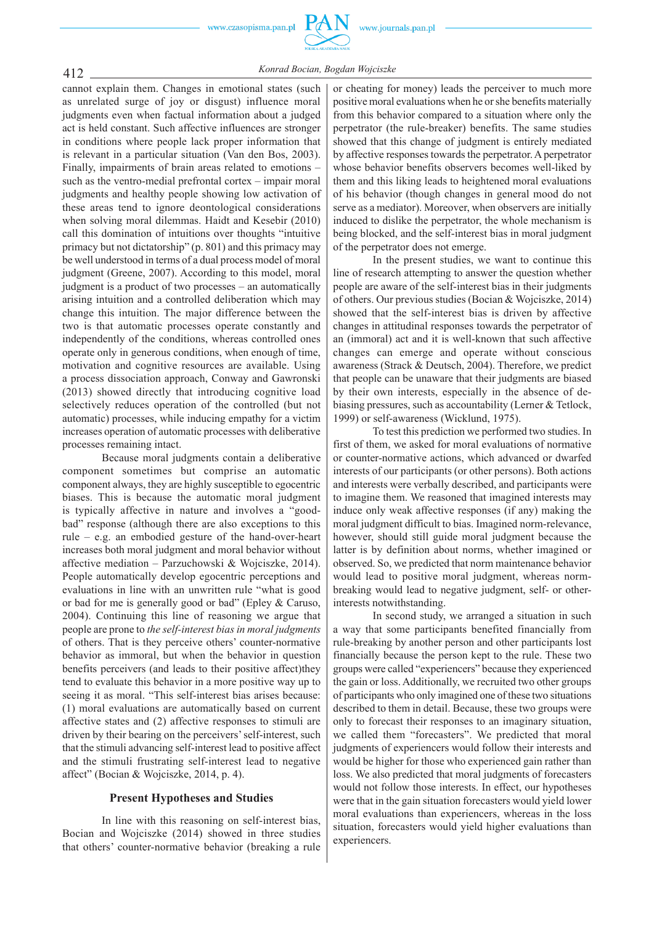412 *Konrad Bocian, Bogdan Wojciszke* cannot explain them. Changes in emotional states (such

as unrelated surge of joy or disgust) influence moral judgments even when factual information about a judged act is held constant. Such affective influences are stronger in conditions where people lack proper information that is relevant in a particular situation (Van den Bos, 2003). Finally, impairments of brain areas related to emotions – such as the ventro-medial prefrontal cortex – impair moral judgments and healthy people showing low activation of these areas tend to ignore deontological considerations when solving moral dilemmas. Haidt and Kesebir (2010) call this domination of intuitions over thoughts "intuitive primacy but not dictatorship" (p. 801) and this primacy may be well understood in terms of a dual process model of moral judgment (Greene, 2007). According to this model, moral judgment is a product of two processes – an automatically arising intuition and a controlled deliberation which may change this intuition. The major difference between the two is that automatic processes operate constantly and independently of the conditions, whereas controlled ones operate only in generous conditions, when enough of time, motivation and cognitive resources are available. Using a process dissociation approach, Conway and Gawronski (2013) showed directly that introducing cognitive load selectively reduces operation of the controlled (but not automatic) processes, while inducing empathy for a victim increases operation of automatic processes with deliberative processes remaining intact.

Because moral judgments contain a deliberative component sometimes but comprise an automatic component always, they are highly susceptible to egocentric biases. This is because the automatic moral judgment is typically affective in nature and involves a "goodbad" response (although there are also exceptions to this rule – e.g. an embodied gesture of the hand-over-heart increases both moral judgment and moral behavior without affective mediation – Parzuchowski & Wojciszke, 2014). People automatically develop egocentric perceptions and evaluations in line with an unwritten rule "what is good or bad for me is generally good or bad" (Epley & Caruso, 2004). Continuing this line of reasoning we argue that people are prone to *the self-interest bias in moral judgments*  of others. That is they perceive others' counter-normative behavior as immoral, but when the behavior in question benefits perceivers (and leads to their positive affect)they tend to evaluate this behavior in a more positive way up to seeing it as moral. "This self-interest bias arises because: (1) moral evaluations are automatically based on current affective states and (2) affective responses to stimuli are driven by their bearing on the perceivers' self-interest, such that the stimuli advancing self-interest lead to positive affect and the stimuli frustrating self-interest lead to negative affect" (Bocian & Wojciszke, 2014, p. 4).

# **Present Hypotheses and Studies**

In line with this reasoning on self-interest bias, Bocian and Wojciszke (2014) showed in three studies that others' counter-normative behavior (breaking a rule

or cheating for money) leads the perceiver to much more positive moral evaluations when he or she benefits materially from this behavior compared to a situation where only the perpetrator (the rule-breaker) benefits. The same studies showed that this change of judgment is entirely mediated by affective responses towards the perpetrator. A perpetrator whose behavior benefits observers becomes well-liked by them and this liking leads to heightened moral evaluations of his behavior (though changes in general mood do not serve as a mediator). Moreover, when observers are initially induced to dislike the perpetrator, the whole mechanism is being blocked, and the self-interest bias in moral judgment of the perpetrator does not emerge.

In the present studies, we want to continue this line of research attempting to answer the question whether people are aware of the self-interest bias in their judgments of others. Our previous studies (Bocian & Wojciszke, 2014) showed that the self-interest bias is driven by affective changes in attitudinal responses towards the perpetrator of an (immoral) act and it is well-known that such affective changes can emerge and operate without conscious awareness (Strack & Deutsch, 2004). Therefore, we predict that people can be unaware that their judgments are biased by their own interests, especially in the absence of debiasing pressures, such as accountability (Lerner & Tetlock, 1999) or self-awareness (Wicklund, 1975).

To test this prediction we performed two studies. In first of them, we asked for moral evaluations of normative or counter-normative actions, which advanced or dwarfed interests of our participants (or other persons). Both actions and interests were verbally described, and participants were to imagine them. We reasoned that imagined interests may induce only weak affective responses (if any) making the moral judgment difficult to bias. Imagined norm-relevance, however, should still guide moral judgment because the latter is by definition about norms, whether imagined or observed. So, we predicted that norm maintenance behavior would lead to positive moral judgment, whereas normbreaking would lead to negative judgment, self- or otherinterests notwithstanding.

In second study, we arranged a situation in such a way that some participants benefited financially from rule-breaking by another person and other participants lost financially because the person kept to the rule. These two groups were called "experiencers" because they experienced the gain or loss. Additionally, we recruited two other groups of participants who only imagined one of these two situations described to them in detail. Because, these two groups were only to forecast their responses to an imaginary situation, we called them "forecasters". We predicted that moral judgments of experiencers would follow their interests and would be higher for those who experienced gain rather than loss. We also predicted that moral judgments of forecasters would not follow those interests. In effect, our hypotheses were that in the gain situation forecasters would yield lower moral evaluations than experiencers, whereas in the loss situation, forecasters would yield higher evaluations than experiencers.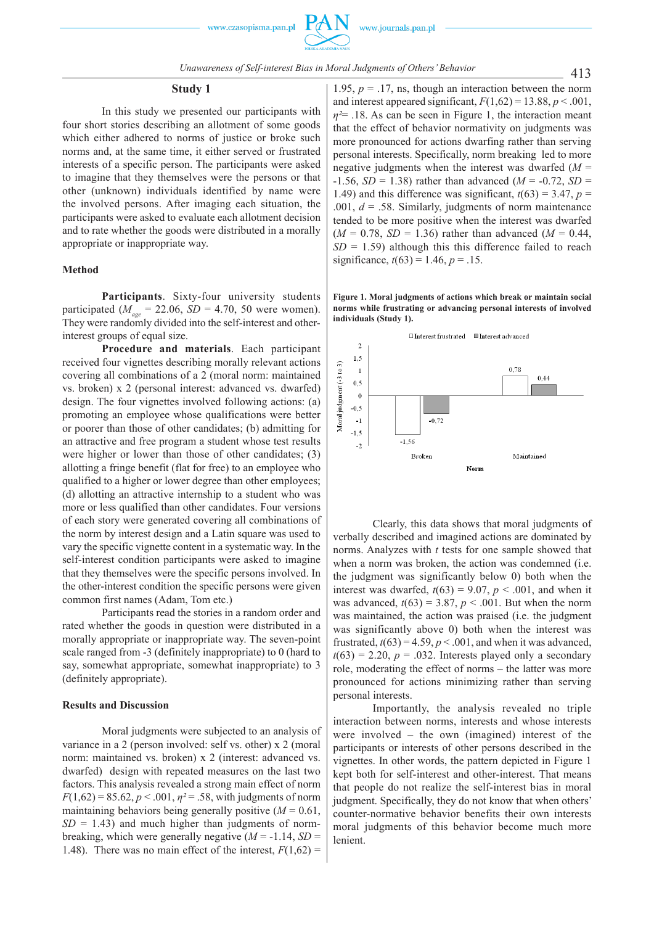#### **Study 1**

In this study we presented our participants with four short stories describing an allotment of some goods which either adhered to norms of justice or broke such norms and, at the same time, it either served or frustrated interests of a specific person. The participants were asked to imagine that they themselves were the persons or that other (unknown) individuals identified by name were the involved persons. After imaging each situation, the participants were asked to evaluate each allotment decision and to rate whether the goods were distributed in a morally appropriate or inappropriate way.

### **Method**

**Participants**. Sixty-four university students participated ( $M_{\text{age}} = 22.06$ ,  $SD = 4.70$ , 50 were women). They were randomly divided into the self-interest and otherinterest groups of equal size.

**Procedure and materials**. Each participant received four vignettes describing morally relevant actions covering all combinations of a 2 (moral norm: maintained vs. broken) x 2 (personal interest: advanced vs. dwarfed) design. The four vignettes involved following actions: (a) promoting an employee whose qualifications were better or poorer than those of other candidates; (b) admitting for an attractive and free program a student whose test results were higher or lower than those of other candidates; (3) allotting a fringe benefit (flat for free) to an employee who qualified to a higher or lower degree than other employees; (d) allotting an attractive internship to a student who was more or less qualified than other candidates. Four versions of each story were generated covering all combinations of the norm by interest design and a Latin square was used to vary the specific vignette content in a systematic way. In the self-interest condition participants were asked to imagine that they themselves were the specific persons involved. In the other-interest condition the specific persons were given common first names (Adam, Tom etc.)

Participants read the stories in a random order and rated whether the goods in question were distributed in a morally appropriate or inappropriate way. The seven-point scale ranged from -3 (definitely inappropriate) to 0 (hard to say, somewhat appropriate, somewhat inappropriate) to 3 (definitely appropriate).

#### **Results and Discussion**

Moral judgments were subjected to an analysis of variance in a 2 (person involved: self vs. other) x 2 (moral norm: maintained vs. broken) x 2 (interest: advanced vs. dwarfed) design with repeated measures on the last two factors. This analysis revealed a strong main effect of norm  $F(1,62) = 85.62, p < .001, \eta^2 = .58$ , with judgments of norm maintaining behaviors being generally positive  $(M = 0.61)$ ,  $SD = 1.43$ ) and much higher than judgments of normbreaking, which were generally negative  $(M = -1.14, SD =$ 1.48). There was no main effect of the interest,  $F(1,62)$  =

1.95,  $p = 0.17$ , ns, though an interaction between the norm and interest appeared significant,  $F(1,62) = 13.88$ ,  $p < .001$ , *η²*= .18. As can be seen in Figure 1, the interaction meant that the effect of behavior normativity on judgments was more pronounced for actions dwarfing rather than serving personal interests. Specifically, norm breaking led to more negative judgments when the interest was dwarfed  $(M =$  $-1.56$ , *SD* = 1.38) rather than advanced (*M* =  $-0.72$ , *SD* = 1.49) and this difference was significant,  $t(63) = 3.47$ ,  $p =$ .001, *d* = .58. Similarly, judgments of norm maintenance tended to be more positive when the interest was dwarfed  $(M = 0.78, SD = 1.36)$  rather than advanced  $(M = 0.44,$  $SD = 1.59$ ) although this this difference failed to reach significance,  $t(63) = 1.46$ ,  $p = .15$ .

**Figure 1. Moral judgments of actions which break or maintain social norms while frustrating or advancing personal interests of involved individuals (Study 1).**



Clearly, this data shows that moral judgments of verbally described and imagined actions are dominated by norms. Analyzes with *t* tests for one sample showed that when a norm was broken, the action was condemned (i.e. the judgment was significantly below 0) both when the interest was dwarfed,  $t(63) = 9.07$ ,  $p < .001$ , and when it was advanced,  $t(63) = 3.87$ ,  $p < .001$ . But when the norm was maintained, the action was praised (i.e. the judgment was significantly above 0) both when the interest was frustrated,  $t(63) = 4.59$ ,  $p < .001$ , and when it was advanced,  $t(63) = 2.20$ ,  $p = .032$ . Interests played only a secondary role, moderating the effect of norms – the latter was more pronounced for actions minimizing rather than serving personal interests.

Importantly, the analysis revealed no triple interaction between norms, interests and whose interests were involved – the own (imagined) interest of the participants or interests of other persons described in the vignettes. In other words, the pattern depicted in Figure 1 kept both for self-interest and other-interest. That means that people do not realize the self-interest bias in moral judgment. Specifically, they do not know that when others' counter-normative behavior benefits their own interests moral judgments of this behavior become much more lenient.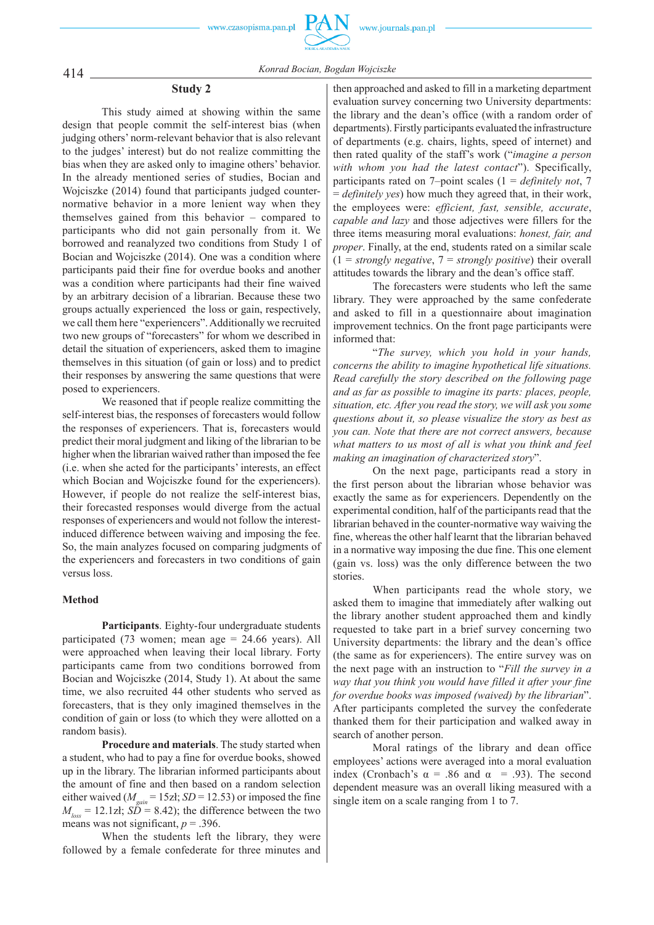

414 *Konrad Bocian, Bogdan Wojciszke*

# **Study 2**

This study aimed at showing within the same design that people commit the self-interest bias (when judging others' norm-relevant behavior that is also relevant to the judges' interest) but do not realize committing the bias when they are asked only to imagine others' behavior. In the already mentioned series of studies, Bocian and Wojciszke (2014) found that participants judged counternormative behavior in a more lenient way when they themselves gained from this behavior – compared to participants who did not gain personally from it. We borrowed and reanalyzed two conditions from Study 1 of Bocian and Wojciszke (2014). One was a condition where participants paid their fine for overdue books and another was a condition where participants had their fine waived by an arbitrary decision of a librarian. Because these two groups actually experienced the loss or gain, respectively, we call them here "experiencers". Additionally we recruited two new groups of "forecasters" for whom we described in detail the situation of experiencers, asked them to imagine themselves in this situation (of gain or loss) and to predict their responses by answering the same questions that were posed to experiencers.

We reasoned that if people realize committing the self-interest bias, the responses of forecasters would follow the responses of experiencers. That is, forecasters would predict their moral judgment and liking of the librarian to be higher when the librarian waived rather than imposed the fee (i.e. when she acted for the participants' interests, an effect which Bocian and Wojciszke found for the experiencers). However, if people do not realize the self-interest bias, their forecasted responses would diverge from the actual responses of experiencers and would not follow the interestinduced difference between waiving and imposing the fee. So, the main analyzes focused on comparing judgments of the experiencers and forecasters in two conditions of gain versus loss.

# **Method**

**Participants**. Eighty-four undergraduate students participated (73 women; mean age = 24.66 years). All were approached when leaving their local library. Forty participants came from two conditions borrowed from Bocian and Wojciszke (2014, Study 1). At about the same time, we also recruited 44 other students who served as forecasters, that is they only imagined themselves in the condition of gain or loss (to which they were allotted on a random basis).

**Procedure and materials**. The study started when a student, who had to pay a fine for overdue books, showed up in the library. The librarian informed participants about the amount of fine and then based on a random selection either waived ( $M_{gain}$  = 15zł; *SD* = 12.53) or imposed the fine  $M_{\text{loss}} = 12.1$ zł;  $S\ddot{D} = 8.42$ ); the difference between the two means was not significant,  $p = .396$ .

When the students left the library, they were followed by a female confederate for three minutes and

then approached and asked to fill in a marketing department evaluation survey concerning two University departments: the library and the dean's office (with a random order of departments). Firstly participants evaluated the infrastructure of departments (e.g. chairs, lights, speed of internet) and then rated quality of the staff's work ("*imagine a person with whom you had the latest contact*"). Specifically, participants rated on 7–point scales (1 = *definitely not*, 7 = *definitely yes*) how much they agreed that, in their work, the employees were: *efficient, fast, sensible, accurate*, *capable and lazy* and those adjectives were fillers for the three items measuring moral evaluations: *honest, fair, and proper*. Finally, at the end, students rated on a similar scale (1 = *strongly negative*, 7 = *strongly positive*) their overall attitudes towards the library and the dean's office staff.

The forecasters were students who left the same library. They were approached by the same confederate and asked to fill in a questionnaire about imagination improvement technics. On the front page participants were informed that:

"*The survey, which you hold in your hands, concerns the ability to imagine hypothetical life situations. Read carefully the story described on the following page and as far as possible to imagine its parts: places, people, situation, etc. After you read the story, we will ask you some questions about it, so please visualize the story as best as you can. Note that there are not correct answers, because what matters to us most of all is what you think and feel making an imagination of characterized story*".

On the next page, participants read a story in the first person about the librarian whose behavior was exactly the same as for experiencers. Dependently on the experimental condition, half of the participants read that the librarian behaved in the counter-normative way waiving the fine, whereas the other half learnt that the librarian behaved in a normative way imposing the due fine. This one element (gain vs. loss) was the only difference between the two stories.

When participants read the whole story, we asked them to imagine that immediately after walking out the library another student approached them and kindly requested to take part in a brief survey concerning two University departments: the library and the dean's office (the same as for experiencers). The entire survey was on the next page with an instruction to "*Fill the survey in a way that you think you would have filled it after your fine for overdue books was imposed (waived) by the librarian*". After participants completed the survey the confederate thanked them for their participation and walked away in search of another person.

Moral ratings of the library and dean office employees' actions were averaged into a moral evaluation index (Cronbach's  $\alpha$  = .86 and  $\alpha$  = .93). The second dependent measure was an overall liking measured with a single item on a scale ranging from 1 to 7.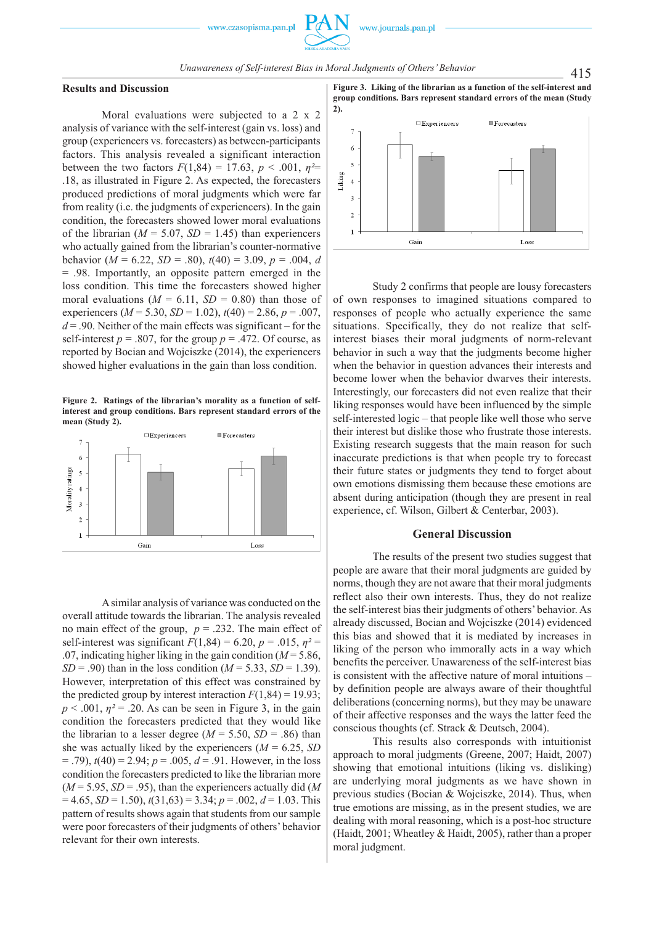# **Results and Discussion**

Moral evaluations were subjected to a 2 x 2 analysis of variance with the self-interest (gain vs. loss) and group (experiencers vs. forecasters) as between-participants factors. This analysis revealed a significant interaction between the two factors  $F(1,84) = 17.63$ ,  $p < .001$ ,  $p^2 =$ .18, as illustrated in Figure 2. As expected, the forecasters produced predictions of moral judgments which were far from reality (i.e. the judgments of experiencers). In the gain condition, the forecasters showed lower moral evaluations of the librarian ( $M = 5.07$ ,  $SD = 1.45$ ) than experiencers who actually gained from the librarian's counter-normative behavior ( $M = 6.22$ ,  $SD = .80$ ),  $t(40) = 3.09$ ,  $p = .004$ , *d* = .98. Importantly, an opposite pattern emerged in the loss condition. This time the forecasters showed higher moral evaluations ( $M = 6.11$ ,  $SD = 0.80$ ) than those of experiencers (*M* = 5.30, *SD* = 1.02), *t*(40) = 2.86, *p* = .007,  $d = 0.90$ . Neither of the main effects was significant – for the self-interest  $p = .807$ , for the group  $p = .472$ . Of course, as reported by Bocian and Wojciszke (2014), the experiencers showed higher evaluations in the gain than loss condition.

**Figure 2. Ratings of the librarian's morality as a function of selfinterest and group conditions. Bars represent standard errors of the mean (Study 2).** 



A similar analysis of variance was conducted on the overall attitude towards the librarian. The analysis revealed no main effect of the group,  $p = .232$ . The main effect of self-interest was significant  $F(1,84) = 6.20$ ,  $p = .015$ ,  $p^2 =$ .07, indicating higher liking in the gain condition (*M* = 5.86,  $SD = .90$ ) than in the loss condition ( $M = 5.33$ ,  $SD = 1.39$ ). However, interpretation of this effect was constrained by the predicted group by interest interaction  $F(1,84) = 19.93$ ;  $p < .001$ ,  $\eta^2 = .20$ . As can be seen in Figure 3, in the gain condition the forecasters predicted that they would like the librarian to a lesser degree ( $M = 5.50$ ,  $SD = .86$ ) than she was actually liked by the experiencers  $(M = 6.25, SD)$  $(1, 79)$ ,  $t(40) = 2.94$ ;  $p = .005$ ,  $d = .91$ . However, in the loss condition the forecasters predicted to like the librarian more  $(M = 5.95, SD = .95)$ , than the experiencers actually did (*M*  $= 4.65$ , *SD* = 1.50),  $t(31,63) = 3.34$ ;  $p = .002$ ,  $d = 1.03$ . This pattern of results shows again that students from our sample were poor forecasters of their judgments of others' behavior relevant for their own interests.

**Figure 3. Liking of the librarian as a function of the self-interest and group conditions. Bars represent standard errors of the mean (Study 2).** 



Study 2 confirms that people are lousy forecasters of own responses to imagined situations compared to responses of people who actually experience the same situations. Specifically, they do not realize that selfinterest biases their moral judgments of norm-relevant behavior in such a way that the judgments become higher when the behavior in question advances their interests and become lower when the behavior dwarves their interests. Interestingly, our forecasters did not even realize that their liking responses would have been influenced by the simple self-interested logic – that people like well those who serve their interest but dislike those who frustrate those interests. Existing research suggests that the main reason for such inaccurate predictions is that when people try to forecast their future states or judgments they tend to forget about own emotions dismissing them because these emotions are absent during anticipation (though they are present in real experience, cf. Wilson, Gilbert & Centerbar, 2003).

# **General Discussion**

The results of the present two studies suggest that people are aware that their moral judgments are guided by norms, though they are not aware that their moral judgments reflect also their own interests. Thus, they do not realize the self-interest bias their judgments of others' behavior. As already discussed, Bocian and Wojciszke (2014) evidenced this bias and showed that it is mediated by increases in liking of the person who immorally acts in a way which benefits the perceiver. Unawareness of the self-interest bias is consistent with the affective nature of moral intuitions – by definition people are always aware of their thoughtful deliberations (concerning norms), but they may be unaware of their affective responses and the ways the latter feed the conscious thoughts (cf. Strack & Deutsch, 2004).

This results also corresponds with intuitionist approach to moral judgments (Greene, 2007; Haidt, 2007) showing that emotional intuitions (liking vs. disliking) are underlying moral judgments as we have shown in previous studies (Bocian & Wojciszke, 2014). Thus, when true emotions are missing, as in the present studies, we are dealing with moral reasoning, which is a post-hoc structure (Haidt, 2001; Wheatley & Haidt, 2005), rather than a proper moral judgment.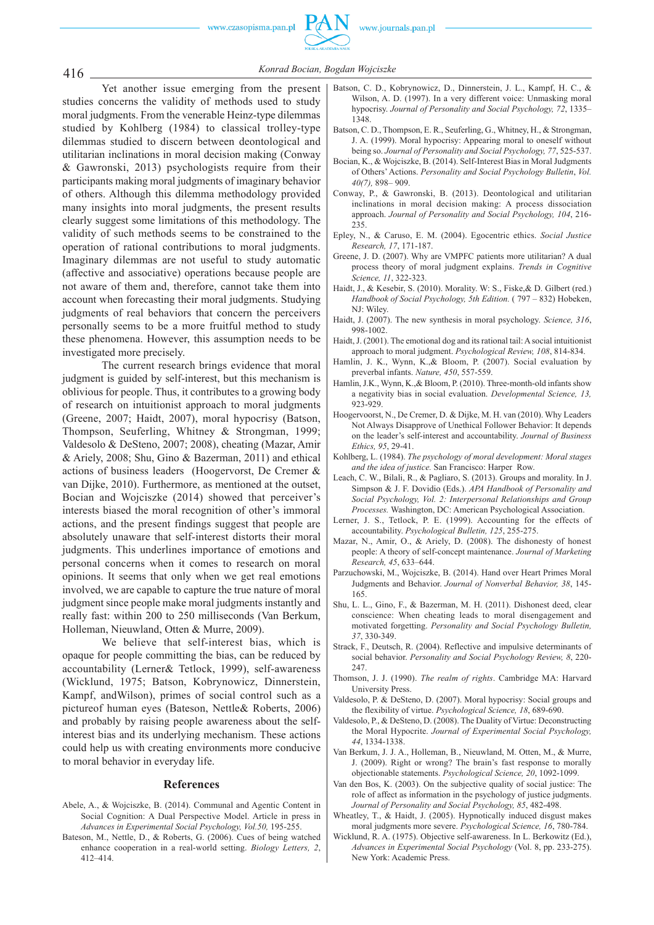

416 *Konrad Bocian, Bogdan Wojciszke*

Yet another issue emerging from the present studies concerns the validity of methods used to study moral judgments. From the venerable Heinz-type dilemmas studied by Kohlberg (1984) to classical trolley-type dilemmas studied to discern between deontological and utilitarian inclinations in moral decision making (Conway & Gawronski, 2013) psychologists require from their participants making moral judgments of imaginary behavior of others. Although this dilemma methodology provided many insights into moral judgments, the present results clearly suggest some limitations of this methodology. The validity of such methods seems to be constrained to the operation of rational contributions to moral judgments. Imaginary dilemmas are not useful to study automatic (affective and associative) operations because people are not aware of them and, therefore, cannot take them into account when forecasting their moral judgments. Studying judgments of real behaviors that concern the perceivers personally seems to be a more fruitful method to study these phenomena. However, this assumption needs to be investigated more precisely.

The current research brings evidence that moral judgment is guided by self-interest, but this mechanism is oblivious for people. Thus, it contributes to a growing body of research on intuitionist approach to moral judgments (Greene, 2007; Haidt, 2007), moral hypocrisy (Batson, Thompson, Seuferling, Whitney & Strongman, 1999; Valdesolo & DeSteno, 2007; 2008), cheating (Mazar, Amir & Ariely, 2008; Shu, Gino & Bazerman, 2011) and ethical actions of business leaders (Hoogervorst, De Cremer & van Dijke, 2010). Furthermore, as mentioned at the outset, Bocian and Wojciszke (2014) showed that perceiver's interests biased the moral recognition of other's immoral actions, and the present findings suggest that people are absolutely unaware that self-interest distorts their moral judgments. This underlines importance of emotions and personal concerns when it comes to research on moral opinions. It seems that only when we get real emotions involved, we are capable to capture the true nature of moral judgment since people make moral judgments instantly and really fast: within 200 to 250 milliseconds (Van Berkum, Holleman, Nieuwland, Otten & Murre, 2009).

We believe that self-interest bias, which is opaque for people committing the bias, can be reduced by accountability (Lerner& Tetlock, 1999), self-awareness (Wicklund, 1975; Batson, Kobrynowicz, Dinnerstein, Kampf, andWilson), primes of social control such as a pictureof human eyes (Bateson, Nettle& Roberts, 2006) and probably by raising people awareness about the selfinterest bias and its underlying mechanism. These actions could help us with creating environments more conducive to moral behavior in everyday life.

#### **References**

- Abele, A., & Wojciszke, B. (2014). Communal and Agentic Content in Social Cognition: A Dual Perspective Model. Article in press in *Advances in Experimental Social Psychology, Vol.50,* 195-255.
- Bateson, M., Nettle, D., & Roberts, G. (2006). Cues of being watched enhance cooperation in a real-world setting. *Biology Letters, 2*, 412–414.
- Batson, C. D., Kobrynowicz, D., Dinnerstein, J. L., Kampf, H. C., & Wilson, A. D. (1997). In a very different voice: Unmasking moral hypocrisy. *Journal of Personality and Social Psychology, 72*, 1335– 1348.
- Batson, C. D., Thompson, E. R., Seuferling, G., Whitney, H., & Strongman, J. A. (1999). Moral hypocrisy: Appearing moral to oneself without being so. *Journal of Personality and Social Psychology, 77*, 525-537.
- Bocian, K., & Wojciszke, B. (2014). Self-Interest Bias in Moral Judgments of Others' Actions. *Personality and Social Psychology Bulletin*, *Vol. 40(7),* 898– 909.
- Conway, P., & Gawronski, B. (2013). Deontological and utilitarian inclinations in moral decision making: A process dissociation approach. *Journal of Personality and Social Psychology, 104*, 216- 235.
- Epley, N., & Caruso, E. M. (2004). Egocentric ethics. *Social Justice Research, 17*, 171-187.
- Greene, J. D. (2007). Why are VMPFC patients more utilitarian? A dual process theory of moral judgment explains. *Trends in Cognitive Science, 11*, 322-323.
- Haidt, J., & Kesebir, S. (2010). Morality. W: S., Fiske,& D. Gilbert (red.) *Handbook of Social Psychology, 5th Edition.* ( 797 – 832) Hobeken, NJ: Wiley.
- Haidt, J. (2007). The new synthesis in moral psychology. *Science, 316*, 998-1002.
- Haidt, J. (2001). The emotional dog and its rational tail: A social intuitionist approach to moral judgment. *Psychological Review, 108*, 814-834.
- Hamlin, J. K., Wynn, K.,& Bloom, P. (2007). Social evaluation by preverbal infants. *Nature, 450*, 557-559.
- Hamlin, J.K., Wynn, K.,& Bloom, P. (2010). Three-month-old infants show a negativity bias in social evaluation. *Developmental Science, 13,*  923-929.
- Hoogervoorst, N., De Cremer, D. & Dijke, M. H. van (2010). Why Leaders Not Always Disapprove of Unethical Follower Behavior: It depends on the leader's self-interest and accountability. *Journal of Business Ethics, 95*, 29-41.
- Kohlberg, L. (1984). *The psychology of moral development: Moral stages and the idea of justice.* San Francisco: Harper Row.
- Leach, C. W., Bilali, R., & Pagliaro, S. (2013). Groups and morality. In J. Simpson & J. F. Dovidio (Eds.). *APA Handbook of Personality and Social Psychology, Vol. 2: Interpersonal Relationships and Group Processes.* Washington, DC: American Psychological Association.
- Lerner, J. S., Tetlock, P. E. (1999). Accounting for the effects of accountability. *Psychological Bulletin, 125*, 255-275.
- Mazar, N., Amir, O., & Ariely, D. (2008). The dishonesty of honest people: A theory of self-concept maintenance. *Journal of Marketing Research, 45*, 633–644.
- Parzuchowski, M., Wojciszke, B. (2014). Hand over Heart Primes Moral Judgments and Behavior. *Journal of Nonverbal Behavior, 38*, 145- 165.
- Shu, L. L., Gino, F., & Bazerman, M. H. (2011). Dishonest deed, clear conscience: When cheating leads to moral disengagement and motivated forgetting. *Personality and Social Psychology Bulletin, 37*, 330-349.
- Strack, F., Deutsch, R. (2004). Reflective and impulsive determinants of social behavior. *Personality and Social Psychology Review, 8*, 220- 247.
- Thomson, J. J. (1990). *The realm of rights*. Cambridge MA: Harvard University Press.
- Valdesolo, P. & DeSteno, D. (2007). Moral hypocrisy: Social groups and the flexibility of virtue. *Psychological Science, 18*, 689-690.
- Valdesolo, P., & DeSteno, D. (2008). The Duality of Virtue: Deconstructing the Moral Hypocrite. *Journal of Experimental Social Psychology, 44*, 1334-1338.
- Van Berkum, J. J. A., Holleman, B., Nieuwland, M. Otten, M., & Murre, J. (2009). Right or wrong? The brain's fast response to morally objectionable statements. *Psychological Science, 20*, 1092-1099.
- Van den Bos, K. (2003). On the subjective quality of social justice: The role of affect as information in the psychology of justice judgments. *Journal of Personality and Social Psychology, 85*, 482-498.
- Wheatley, T., & Haidt, J. (2005). Hypnotically induced disgust makes moral judgments more severe. *Psychological Science, 16*, 780-784.
- Wicklund, R. A. (1975). Objective self-awareness. In L. Berkowitz (Ed.), *Advances in Experimental Social Psychology* (Vol. 8, pp. 233-275). New York: Academic Press.